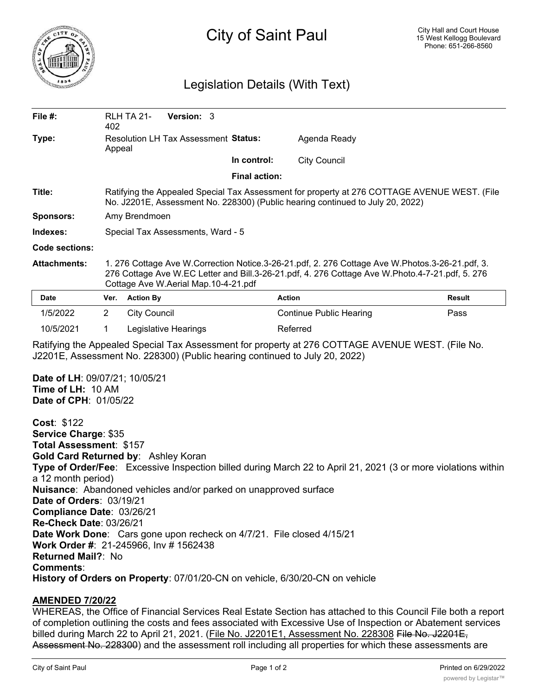

# City of Saint Paul

## Legislation Details (With Text)

| File #:                                                                                                      | 402                                                                                                                                                                            | RLH TA 21-          | Version: 3           |                                      |                                                                                                                                                                                                    |               |
|--------------------------------------------------------------------------------------------------------------|--------------------------------------------------------------------------------------------------------------------------------------------------------------------------------|---------------------|----------------------|--------------------------------------|----------------------------------------------------------------------------------------------------------------------------------------------------------------------------------------------------|---------------|
| Type:                                                                                                        | <b>Resolution LH Tax Assessment Status:</b><br>Appeal                                                                                                                          |                     |                      |                                      | Agenda Ready                                                                                                                                                                                       |               |
|                                                                                                              |                                                                                                                                                                                |                     |                      | In control:                          | <b>City Council</b>                                                                                                                                                                                |               |
|                                                                                                              |                                                                                                                                                                                |                     |                      | <b>Final action:</b>                 |                                                                                                                                                                                                    |               |
| Title:                                                                                                       | Ratifying the Appealed Special Tax Assessment for property at 276 COTTAGE AVENUE WEST. (File<br>No. J2201E, Assessment No. 228300) (Public hearing continued to July 20, 2022) |                     |                      |                                      |                                                                                                                                                                                                    |               |
| <b>Sponsors:</b>                                                                                             | Amy Brendmoen                                                                                                                                                                  |                     |                      |                                      |                                                                                                                                                                                                    |               |
| Indexes:                                                                                                     | Special Tax Assessments, Ward - 5                                                                                                                                              |                     |                      |                                      |                                                                                                                                                                                                    |               |
| <b>Code sections:</b>                                                                                        |                                                                                                                                                                                |                     |                      |                                      |                                                                                                                                                                                                    |               |
| <b>Attachments:</b>                                                                                          |                                                                                                                                                                                |                     |                      | Cottage Ave W.Aerial Map.10-4-21.pdf | 1. 276 Cottage Ave W.Correction Notice.3-26-21.pdf, 2. 276 Cottage Ave W.Photos.3-26-21.pdf, 3.<br>276 Cottage Ave W.EC Letter and Bill.3-26-21.pdf, 4. 276 Cottage Ave W.Photo.4-7-21.pdf, 5. 276 |               |
| Date                                                                                                         | Ver.                                                                                                                                                                           | <b>Action By</b>    |                      |                                      | <b>Action</b>                                                                                                                                                                                      | <b>Result</b> |
| 1/5/2022                                                                                                     | $\overline{2}$                                                                                                                                                                 | <b>City Council</b> |                      |                                      | <b>Continue Public Hearing</b>                                                                                                                                                                     | Pass          |
| 10/5/2021                                                                                                    | 1                                                                                                                                                                              |                     | Legislative Hearings |                                      | Referred                                                                                                                                                                                           |               |
|                                                                                                              |                                                                                                                                                                                |                     |                      |                                      | Ratifying the Appealed Special Tax Assessment for property at 276 COTTAGE AVENUE WEST. (File No.<br>J2201E, Assessment No. 228300) (Public hearing continued to July 20, 2022)                     |               |
| Date of LH: 09/07/21; 10/05/21<br>Time of LH: 10 AM<br>Date of CPH: 01/05/22                                 |                                                                                                                                                                                |                     |                      |                                      |                                                                                                                                                                                                    |               |
| <b>Cost: \$122</b><br>Service Charge: \$35<br>Total Assessment: \$157<br>Gold Card Returned by: Ashley Koran |                                                                                                                                                                                |                     |                      |                                      |                                                                                                                                                                                                    |               |

## **AMENDED 7/20/22**

WHEREAS, the Office of Financial Services Real Estate Section has attached to this Council File both a report of completion outlining the costs and fees associated with Excessive Use of Inspection or Abatement services billed during March 22 to April 21, 2021. (File No. J2201E1, Assessment No. 228308 File No. J2201E, Assessment No. 228300) and the assessment roll including all properties for which these assessments are